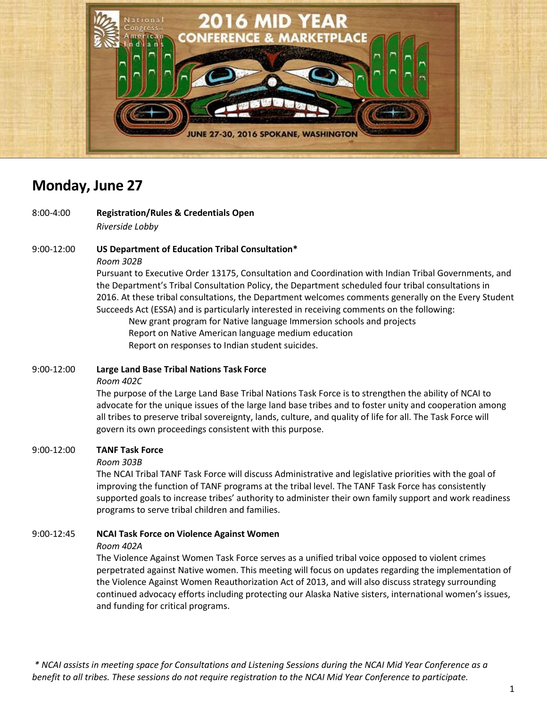

# **Monday, June 27**

8:00-4:00 **Registration/Rules & Credentials Open** *Riverside Lobby* 

9:00-12:00 **US Department of Education Tribal Consultation\***

*Room 302B*

Pursuant to Executive Order 13175, Consultation and Coordination with Indian Tribal Governments, and the Department's Tribal Consultation Policy, the Department scheduled four tribal consultations in 2016. At these tribal consultations, the Department welcomes comments generally on the Every Student Succeeds Act (ESSA) and is particularly interested in receiving comments on the following: New grant program for Native language Immersion schools and projects Report on Native American language medium education

Report on responses to Indian student suicides.

#### 9:00-12:00 **Large Land Base Tribal Nations Task Force**

*Room 402C*

The purpose of the Large Land Base Tribal Nations Task Force is to strengthen the ability of NCAI to advocate for the unique issues of the large land base tribes and to foster unity and cooperation among all tribes to preserve tribal sovereignty, lands, culture, and quality of life for all. The Task Force will govern its own proceedings consistent with this purpose.

#### 9:00-12:00 **TANF Task Force**

#### *Room 303B*

The NCAI Tribal TANF Task Force will discuss Administrative and legislative priorities with the goal of improving the function of TANF programs at the tribal level. The TANF Task Force has consistently supported goals to increase tribes' authority to administer their own family support and work readiness programs to serve tribal children and families.

#### 9:00-12:45 **NCAI Task Force on Violence Against Women**

#### *Room 402A*

The Violence Against Women Task Force serves as a unified tribal voice opposed to violent crimes perpetrated against Native women. This meeting will focus on updates regarding the implementation of the Violence Against Women Reauthorization Act of 2013, and will also discuss strategy surrounding continued advocacy efforts including protecting our Alaska Native sisters, international women's issues, and funding for critical programs.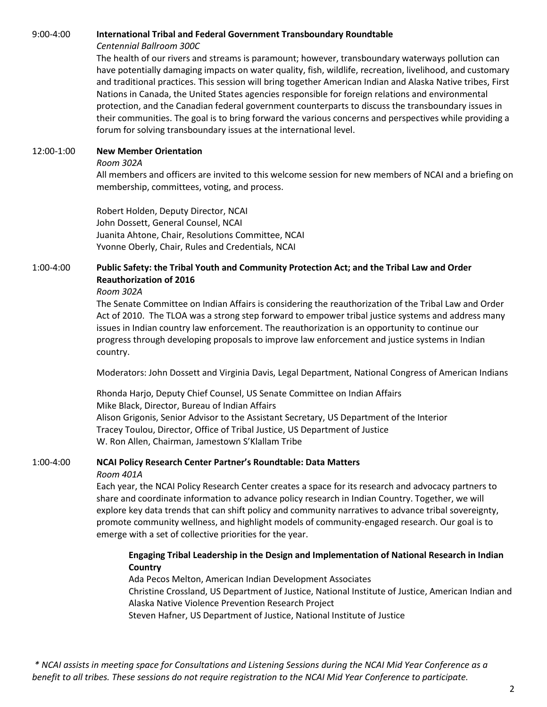#### 9:00-4:00 **International Tribal and Federal Government Transboundary Roundtable**

#### *Centennial Ballroom 300C*

The health of our rivers and streams is paramount; however, transboundary waterways pollution can have potentially damaging impacts on water quality, fish, wildlife, recreation, livelihood, and customary and traditional practices. This session will bring together American Indian and Alaska Native tribes, First Nations in Canada, the United States agencies responsible for foreign relations and environmental protection, and the Canadian federal government counterparts to discuss the transboundary issues in their communities. The goal is to bring forward the various concerns and perspectives while providing a forum for solving transboundary issues at the international level.

#### 12:00-1:00 **New Member Orientation**

#### *Room 302A*

All members and officers are invited to this welcome session for new members of NCAI and a briefing on membership, committees, voting, and process.

Robert Holden, Deputy Director, NCAI John Dossett, General Counsel, NCAI Juanita Ahtone, Chair, Resolutions Committee, NCAI Yvonne Oberly, Chair, Rules and Credentials, NCAI

### 1:00-4:00 **Public Safety: the Tribal Youth and Community Protection Act; and the Tribal Law and Order Reauthorization of 2016**

#### *Room 302A*

The Senate Committee on Indian Affairs is considering the reauthorization of the Tribal Law and Order Act of 2010. The TLOA was a strong step forward to empower tribal justice systems and address many issues in Indian country law enforcement. The reauthorization is an opportunity to continue our progress through developing proposals to improve law enforcement and justice systems in Indian country.

Moderators: John Dossett and Virginia Davis, Legal Department, National Congress of American Indians

Rhonda Harjo, Deputy Chief Counsel, US Senate Committee on Indian Affairs Mike Black, Director, Bureau of Indian Affairs Alison Grigonis, Senior Advisor to the Assistant Secretary, US Department of the Interior Tracey Toulou, Director, Office of Tribal Justice, US Department of Justice W. Ron Allen, Chairman, Jamestown S'Klallam Tribe

#### 1:00-4:00 **NCAI Policy Research Center Partner's Roundtable: Data Matters** *Room 401A*

Each year, the NCAI Policy Research Center creates a space for its research and advocacy partners to share and coordinate information to advance policy research in Indian Country. Together, we will explore key data trends that can shift policy and community narratives to advance tribal sovereignty, promote community wellness, and highlight models of community-engaged research. Our goal is to emerge with a set of collective priorities for the year.

#### **Engaging Tribal Leadership in the Design and Implementation of National Research in Indian Country**

Ada Pecos Melton, American Indian Development Associates Christine Crossland, US Department of Justice, National Institute of Justice, American Indian and Alaska Native Violence Prevention Research Project Steven Hafner, US Department of Justice, National Institute of Justice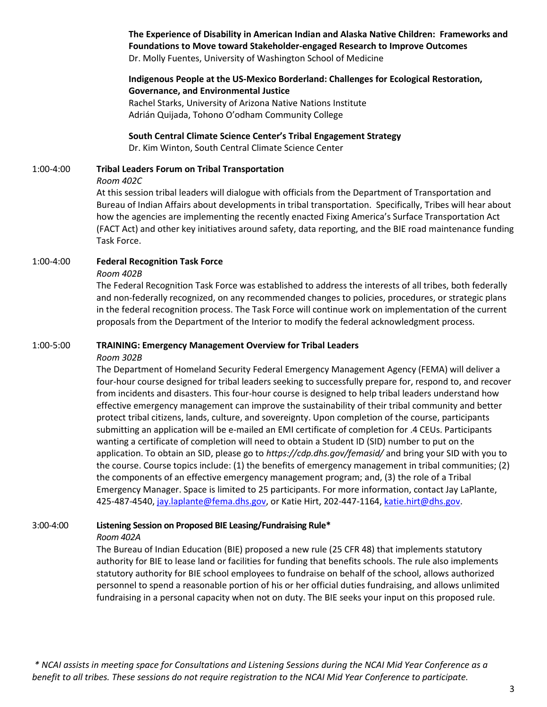**The Experience of Disability in American Indian and Alaska Native Children: Frameworks and Foundations to Move toward Stakeholder-engaged Research to Improve Outcomes**  Dr. Molly Fuentes, University of Washington School of Medicine

### **Indigenous People at the US-Mexico Borderland: Challenges for Ecological Restoration, Governance, and Environmental Justice**

Rachel Starks, University of Arizona Native Nations Institute Adrián Quijada, Tohono O'odham Community College

**South Central Climate Science Center's Tribal Engagement Strategy** Dr. Kim Winton, South Central Climate Science Center

## 1:00-4:00 **Tribal Leaders Forum on Tribal Transportation**

#### *Room 402C*

At this session tribal leaders will dialogue with officials from the Department of Transportation and Bureau of Indian Affairs about developments in tribal transportation. Specifically, Tribes will hear about how the agencies are implementing the recently enacted Fixing America's Surface Transportation Act (FACT Act) and other key initiatives around safety, data reporting, and the BIE road maintenance funding Task Force.

#### 1:00-4:00 **Federal Recognition Task Force**

*Room 402B*

The Federal Recognition Task Force was established to address the interests of all tribes, both federally and non-federally recognized, on any recommended changes to policies, procedures, or strategic plans in the federal recognition process. The Task Force will continue work on implementation of the current proposals from the Department of the Interior to modify the federal acknowledgment process.

#### 1:00-5:00 **TRAINING: Emergency Management Overview for Tribal Leaders**

#### *Room 302B*

The Department of Homeland Security Federal Emergency Management Agency (FEMA) will deliver a four-hour course designed for tribal leaders seeking to successfully prepare for, respond to, and recover from incidents and disasters. This four-hour course is designed to help tribal leaders understand how effective emergency management can improve the sustainability of their tribal community and better protect tribal citizens, lands, culture, and sovereignty. Upon completion of the course, participants submitting an application will be e-mailed an EMI certificate of completion for .4 CEUs. Participants wanting a certificate of completion will need to obtain a Student ID (SID) number to put on the application. To obtain an SID, please go to *https://cdp.dhs.gov/femasid/* and bring your SID with you to the course. Course topics include: (1) the benefits of emergency management in tribal communities; (2) the components of an effective emergency management program; and, (3) the role of a Tribal Emergency Manager. Space is limited to 25 participants. For more information, contact Jay LaPlante, 425-487-4540[, jay.laplante@fema.dhs.gov,](mailto:jay.laplante@fema.dhs.gov) or Katie Hirt, 202-447-1164, [katie.hirt@dhs.gov.](mailto:katie.hirt@dhs.gov)

#### 3:00-4:00 **Listening Session on Proposed BIE Leasing/Fundraising Rule\***

*Room 402A*

The Bureau of Indian Education (BIE) proposed a new rule (25 CFR 48) that implements statutory authority for BIE to lease land or facilities for funding that benefits schools. The rule also implements statutory authority for BIE school employees to fundraise on behalf of the school, allows authorized personnel to spend a reasonable portion of his or her official duties fundraising, and allows unlimited fundraising in a personal capacity when not on duty. The BIE seeks your input on this proposed rule.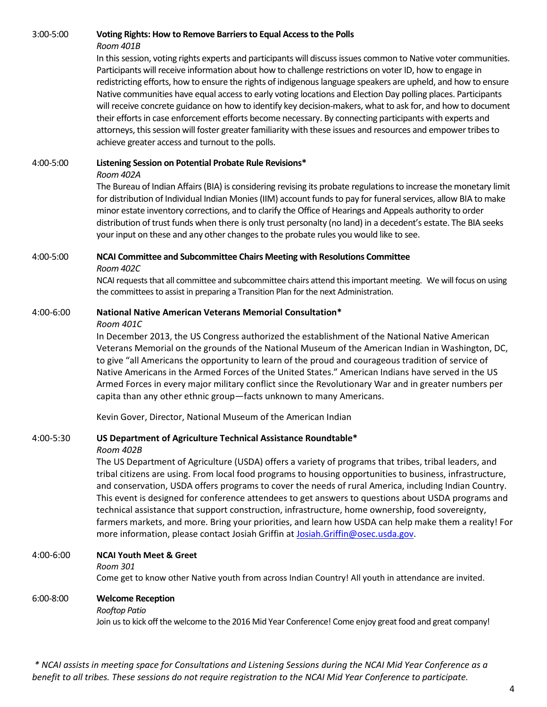#### 3:00-5:00 **Voting Rights: How to Remove Barriers to Equal Access to the Polls** *Room 401B*

In this session, voting rights experts and participants will discuss issues common to Native voter communities. Participants will receive information about how to challenge restrictions on voter ID, how to engage in redistricting efforts, how to ensure the rights of indigenous language speakers are upheld, and how to ensure Native communities have equal access to early voting locations and Election Day polling places. Participants will receive concrete guidance on how to identify key decision-makers, what to ask for, and how to document their efforts in case enforcement efforts become necessary. By connecting participants with experts and attorneys, this session will foster greater familiarity with these issues and resources and empower tribes to achieve greater access and turnout to the polls.

#### 4:00-5:00 **Listening Session on Potential Probate Rule Revisions\***

#### *Room 402A*

The Bureau of Indian Affairs (BIA) is considering revising its probate regulations to increase the monetary limit for distribution of Individual Indian Monies (IIM) account funds to pay for funeral services, allow BIA to make minor estate inventory corrections, and to clarify the Office of Hearings and Appeals authority to order distribution of trust funds when there is only trust personalty (no land) in a decedent's estate. The BIA seeks your input on these and any other changes to the probate rules you would like to see.

#### 4:00-5:00 **NCAI Committee and Subcommittee Chairs Meeting with Resolutions Committee**

*Room 402C*

NCAI requests that all committee and subcommittee chairs attend this important meeting. We will focus on using the committees to assist in preparing a Transition Plan for the next Administration.

#### 4:00-6:00 **National Native American Veterans Memorial Consultation\***

#### *Room 401C*

In December 2013, the US Congress authorized the establishment of the National Native American Veterans Memorial on the grounds of the National Museum of the American Indian in Washington, DC, to give "all Americans the opportunity to learn of the proud and courageous tradition of service of Native Americans in the Armed Forces of the United States." American Indians have served in the US Armed Forces in every major military conflict since the Revolutionary War and in greater numbers per capita than any other ethnic group—facts unknown to many Americans.

Kevin Gover, Director, National Museum of the American Indian

#### 4:00-5:30 **US Department of Agriculture Technical Assistance Roundtable\***

#### *Room 402B*

The US Department of Agriculture (USDA) offers a variety of programs that tribes, tribal leaders, and tribal citizens are using. From local food programs to housing opportunities to business, infrastructure, and conservation, USDA offers programs to cover the needs of rural America, including Indian Country. This event is designed for conference attendees to get answers to questions about USDA programs and technical assistance that support construction, infrastructure, home ownership, food sovereignty, farmers markets, and more. Bring your priorities, and learn how USDA can help make them a reality! For more information, please contact Josiah Griffin at [Josiah.Griffin@osec.usda.gov.](mailto:Josiah.Griffin@osec.usda.gov)

#### 4:00-6:00 **NCAI Youth Meet & Greet**

#### *Room 301*

Come get to know other Native youth from across Indian Country! All youth in attendance are invited.

#### 6:00-8:00 **Welcome Reception**

#### *Rooftop Patio*

Join us to kick off the welcome to the 2016 Mid Year Conference! Come enjoy great food and great company!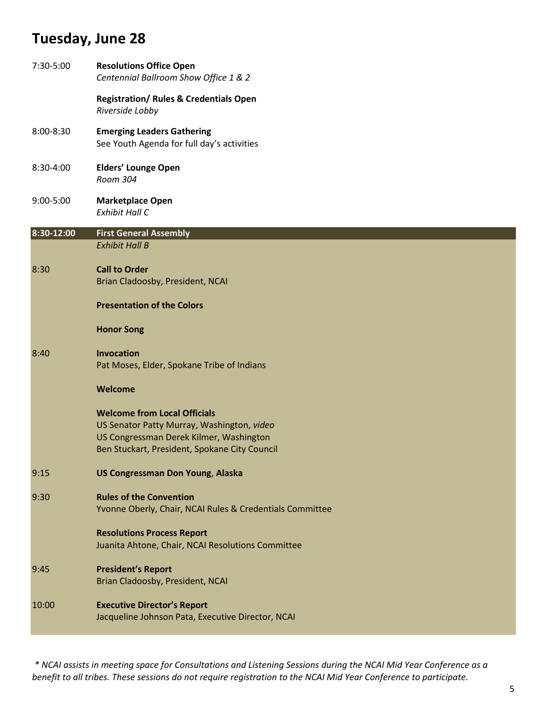# **Tuesday, June 28**

| 7:30-5:00  | <b>Resolutions Office Open</b><br>Centennial Ballroom Show Office 1 & 2                                                                                                       |
|------------|-------------------------------------------------------------------------------------------------------------------------------------------------------------------------------|
|            | <b>Registration/ Rules &amp; Credentials Open</b><br>Riverside Lobby                                                                                                          |
| 8:00-8:30  | <b>Emerging Leaders Gathering</b><br>See Youth Agenda for full day's activities                                                                                               |
| 8:30-4:00  | <b>Elders' Lounge Open</b><br>Room 304                                                                                                                                        |
| 9:00-5:00  | <b>Marketplace Open</b><br><b>Exhibit Hall C</b>                                                                                                                              |
| 8:30-12:00 | <b>First General Assembly</b><br><b>Exhibit Hall B</b>                                                                                                                        |
| 8:30       | <b>Call to Order</b><br>Brian Cladoosby, President, NCAI                                                                                                                      |
|            | <b>Presentation of the Colors</b>                                                                                                                                             |
|            | <b>Honor Song</b>                                                                                                                                                             |
| 8:40       | Invocation<br>Pat Moses, Elder, Spokane Tribe of Indians                                                                                                                      |
|            | Welcome                                                                                                                                                                       |
|            | <b>Welcome from Local Officials</b><br>US Senator Patty Murray, Washington, video<br>US Congressman Derek Kilmer, Washington<br>Ben Stuckart, President, Spokane City Council |
| 9:15       | <b>US Congressman Don Young, Alaska</b>                                                                                                                                       |
| 9:30       | <b>Rules of the Convention</b><br>Yvonne Oberly, Chair, NCAI Rules & Credentials Committee                                                                                    |
|            | <b>Resolutions Process Report</b><br>Juanita Ahtone, Chair, NCAI Resolutions Committee                                                                                        |
| 9:45       | <b>President's Report</b><br>Brian Cladoosby, President, NCAI                                                                                                                 |
| 10:00      | <b>Executive Director's Report</b><br>Jacqueline Johnson Pata, Executive Director, NCAI                                                                                       |
|            |                                                                                                                                                                               |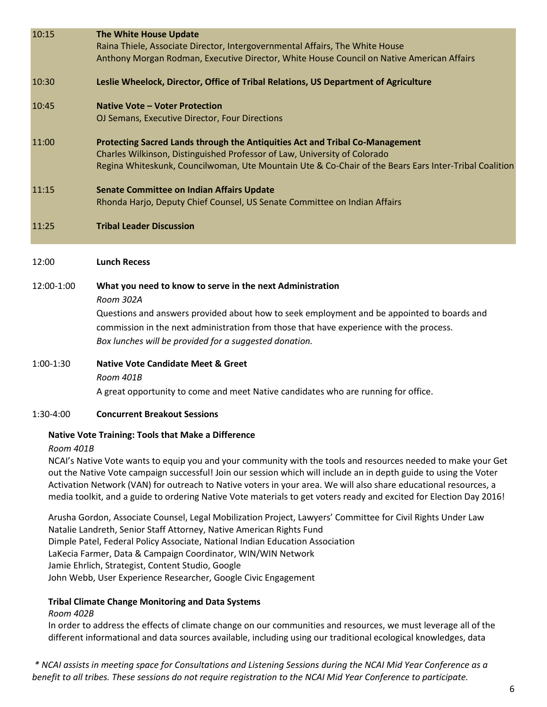| 10:15                                              | <b>The White House Update</b><br>Raina Thiele, Associate Director, Intergovernmental Affairs, The White House<br>Anthony Morgan Rodman, Executive Director, White House Council on Native American Affairs                                                                                                                |  |  |
|----------------------------------------------------|---------------------------------------------------------------------------------------------------------------------------------------------------------------------------------------------------------------------------------------------------------------------------------------------------------------------------|--|--|
| 10:30                                              | Leslie Wheelock, Director, Office of Tribal Relations, US Department of Agriculture                                                                                                                                                                                                                                       |  |  |
| 10:45                                              | <b>Native Vote - Voter Protection</b><br>OJ Semans, Executive Director, Four Directions                                                                                                                                                                                                                                   |  |  |
| 11:00                                              | Protecting Sacred Lands through the Antiquities Act and Tribal Co-Management<br>Charles Wilkinson, Distinguished Professor of Law, University of Colorado<br>Regina Whiteskunk, Councilwoman, Ute Mountain Ute & Co-Chair of the Bears Ears Inter-Tribal Coalition                                                        |  |  |
| 11:15                                              | <b>Senate Committee on Indian Affairs Update</b><br>Rhonda Harjo, Deputy Chief Counsel, US Senate Committee on Indian Affairs                                                                                                                                                                                             |  |  |
| 11:25                                              | <b>Tribal Leader Discussion</b>                                                                                                                                                                                                                                                                                           |  |  |
| 12:00                                              | <b>Lunch Recess</b>                                                                                                                                                                                                                                                                                                       |  |  |
| 12:00-1:00                                         | What you need to know to serve in the next Administration<br>Room 302A<br>Questions and answers provided about how to seek employment and be appointed to boards and<br>commission in the next administration from those that have experience with the process.<br>Box lunches will be provided for a suggested donation. |  |  |
| 1:00-1:30                                          | <b>Native Vote Candidate Meet &amp; Greet</b><br>Room 401B<br>A great opportunity to come and meet Native candidates who are running for office.                                                                                                                                                                          |  |  |
| 1:30-4:00                                          | <b>Concurrent Breakout Sessions</b>                                                                                                                                                                                                                                                                                       |  |  |
| Native Vote Training: Tools that Make a Difference |                                                                                                                                                                                                                                                                                                                           |  |  |

#### *Room 401B*

NCAI's Native Vote wants to equip you and your community with the tools and resources needed to make your Get out the Native Vote campaign successful! Join our session which will include an in depth guide to using the Voter Activation Network (VAN) for outreach to Native voters in your area. We will also share educational resources, a media toolkit, and a guide to ordering Native Vote materials to get voters ready and excited for Election Day 2016!

Arusha Gordon, Associate Counsel, Legal Mobilization Project, Lawyers' Committee for Civil Rights Under Law Natalie Landreth, Senior Staff Attorney, Native American Rights Fund Dimple Patel, Federal Policy Associate, National Indian Education Association LaKecia Farmer, Data & Campaign Coordinator, WIN/WIN Network Jamie Ehrlich, Strategist, Content Studio, Google John Webb, User Experience Researcher, Google Civic Engagement

#### **Tribal Climate Change Monitoring and Data Systems**

#### *Room 402B*

In order to address the effects of climate change on our communities and resources, we must leverage all of the different informational and data sources available, including using our traditional ecological knowledges, data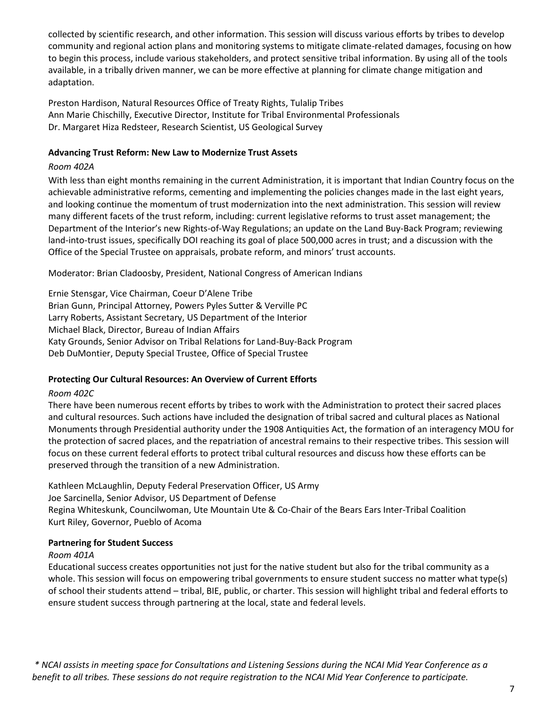collected by scientific research, and other information. This session will discuss various efforts by tribes to develop community and regional action plans and monitoring systems to mitigate climate-related damages, focusing on how to begin this process, include various stakeholders, and protect sensitive tribal information. By using all of the tools available, in a tribally driven manner, we can be more effective at planning for climate change mitigation and adaptation.

Preston Hardison, Natural Resources Office of Treaty Rights, Tulalip Tribes Ann Marie Chischilly, Executive Director, Institute for Tribal Environmental Professionals Dr. Margaret Hiza Redsteer, Research Scientist, US Geological Survey

#### **Advancing Trust Reform: New Law to Modernize Trust Assets**

#### *Room 402A*

With less than eight months remaining in the current Administration, it is important that Indian Country focus on the achievable administrative reforms, cementing and implementing the policies changes made in the last eight years, and looking continue the momentum of trust modernization into the next administration. This session will review many different facets of the trust reform, including: current legislative reforms to trust asset management; the Department of the Interior's new Rights-of-Way Regulations; an update on the Land Buy-Back Program; reviewing land-into-trust issues, specifically DOI reaching its goal of place 500,000 acres in trust; and a discussion with the Office of the Special Trustee on appraisals, probate reform, and minors' trust accounts.

Moderator: Brian Cladoosby, President, National Congress of American Indians

Ernie Stensgar, Vice Chairman, Coeur D'Alene Tribe Brian Gunn, Principal Attorney, Powers Pyles Sutter & Verville PC Larry Roberts, Assistant Secretary, US Department of the Interior Michael Black, Director, Bureau of Indian Affairs Katy Grounds, Senior Advisor on Tribal Relations for Land-Buy-Back Program Deb DuMontier, Deputy Special Trustee, Office of Special Trustee

#### **Protecting Our Cultural Resources: An Overview of Current Efforts**

#### *Room 402C*

There have been numerous recent efforts by tribes to work with the Administration to protect their sacred places and cultural resources. Such actions have included the designation of tribal sacred and cultural places as National Monuments through Presidential authority under the 1908 Antiquities Act, the formation of an interagency MOU for the protection of sacred places, and the repatriation of ancestral remains to their respective tribes. This session will focus on these current federal efforts to protect tribal cultural resources and discuss how these efforts can be preserved through the transition of a new Administration.

Kathleen McLaughlin, Deputy Federal Preservation Officer, US Army Joe Sarcinella, Senior Advisor, US Department of Defense Regina Whiteskunk, Councilwoman, Ute Mountain Ute & Co-Chair of the Bears Ears Inter-Tribal Coalition Kurt Riley, Governor, Pueblo of Acoma

#### **Partnering for Student Success**

#### *Room 401A*

Educational success creates opportunities not just for the native student but also for the tribal community as a whole. This session will focus on empowering tribal governments to ensure student success no matter what type(s) of school their students attend – tribal, BIE, public, or charter. This session will highlight tribal and federal efforts to ensure student success through partnering at the local, state and federal levels.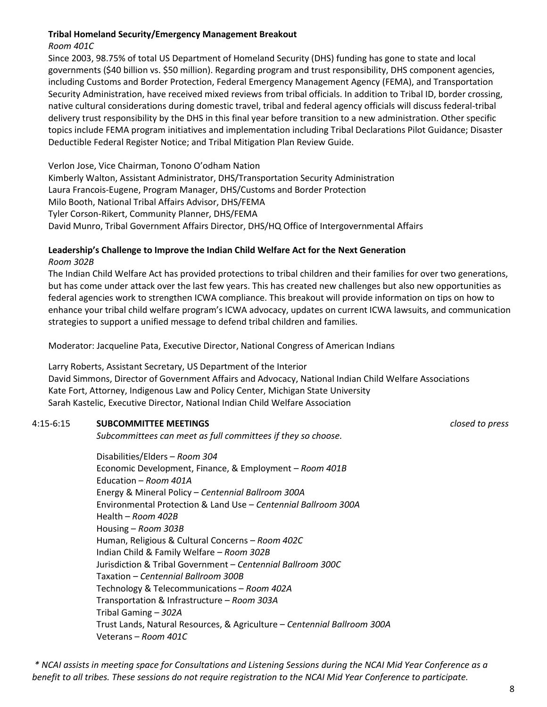#### **Tribal Homeland Security/Emergency Management Breakout**

#### *Room 401C*

Since 2003, 98.75% of total US Department of Homeland Security (DHS) funding has gone to state and local governments (\$40 billion vs. \$50 million). Regarding program and trust responsibility, DHS component agencies, including Customs and Border Protection, Federal Emergency Management Agency (FEMA), and Transportation Security Administration, have received mixed reviews from tribal officials. In addition to Tribal ID, border crossing, native cultural considerations during domestic travel, tribal and federal agency officials will discuss federal-tribal delivery trust responsibility by the DHS in this final year before transition to a new administration. Other specific topics include FEMA program initiatives and implementation including Tribal Declarations Pilot Guidance; Disaster Deductible Federal Register Notice; and Tribal Mitigation Plan Review Guide.

Verlon Jose, Vice Chairman, Tonono O'odham Nation Kimberly Walton, Assistant Administrator, DHS/Transportation Security Administration Laura Francois-Eugene, Program Manager, DHS/Customs and Border Protection Milo Booth, National Tribal Affairs Advisor, DHS/FEMA Tyler Corson-Rikert, Community Planner, DHS/FEMA David Munro, Tribal Government Affairs Director, DHS/HQ Office of Intergovernmental Affairs

#### **Leadership's Challenge to Improve the Indian Child Welfare Act for the Next Generation** *Room 302B*

The Indian Child Welfare Act has provided protections to tribal children and their families for over two generations, but has come under attack over the last few years. This has created new challenges but also new opportunities as federal agencies work to strengthen ICWA compliance. This breakout will provide information on tips on how to enhance your tribal child welfare program's ICWA advocacy, updates on current ICWA lawsuits, and communication strategies to support a unified message to defend tribal children and families.

Moderator: Jacqueline Pata, Executive Director, National Congress of American Indians

Larry Roberts, Assistant Secretary, US Department of the Interior David Simmons, Director of Government Affairs and Advocacy, National Indian Child Welfare Associations Kate Fort, Attorney, Indigenous Law and Policy Center, Michigan State University Sarah Kastelic, Executive Director, National Indian Child Welfare Association

#### 4:15-6:15 **SUBCOMMITTEE MEETINGS** *closed to press*

*Subcommittees can meet as full committees if they so choose.* 

Disabilities/Elders – *Room 304* Economic Development, Finance, & Employment – *Room 401B* Education – *Room 401A* Energy & Mineral Policy – *Centennial Ballroom 300A* Environmental Protection & Land Use – *Centennial Ballroom 300A* Health – *Room 402B* Housing – *Room 303B* Human, Religious & Cultural Concerns – *Room 402C* Indian Child & Family Welfare – *Room 302B* Jurisdiction & Tribal Government – *Centennial Ballroom 300C*  Taxation – *Centennial Ballroom 300B* Technology & Telecommunications – *Room 402A* Transportation & Infrastructure – *Room 303A* Tribal Gaming – *302A* Trust Lands, Natural Resources, & Agriculture – *Centennial Ballroom 300A* Veterans – *Room 401C*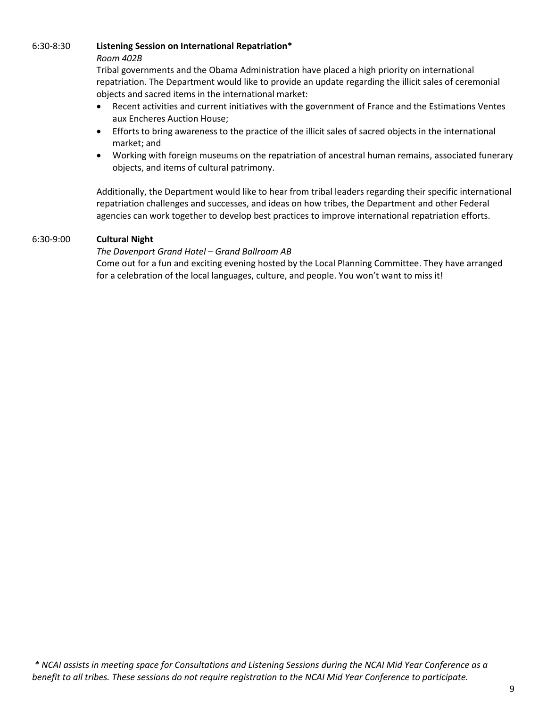#### 6:30-8:30 **Listening Session on International Repatriation\***

#### *Room 402B*

Tribal governments and the Obama Administration have placed a high priority on international repatriation. The Department would like to provide an update regarding the illicit sales of ceremonial objects and sacred items in the international market:

- Recent activities and current initiatives with the government of France and the Estimations Ventes aux Encheres Auction House;
- Efforts to bring awareness to the practice of the illicit sales of sacred objects in the international market; and
- Working with foreign museums on the repatriation of ancestral human remains, associated funerary objects, and items of cultural patrimony.

Additionally, the Department would like to hear from tribal leaders regarding their specific international repatriation challenges and successes, and ideas on how tribes, the Department and other Federal agencies can work together to develop best practices to improve international repatriation efforts.

#### 6:30-9:00 **Cultural Night**

#### *The Davenport Grand Hotel – Grand Ballroom AB*

Come out for a fun and exciting evening hosted by the Local Planning Committee. They have arranged for a celebration of the local languages, culture, and people. You won't want to miss it!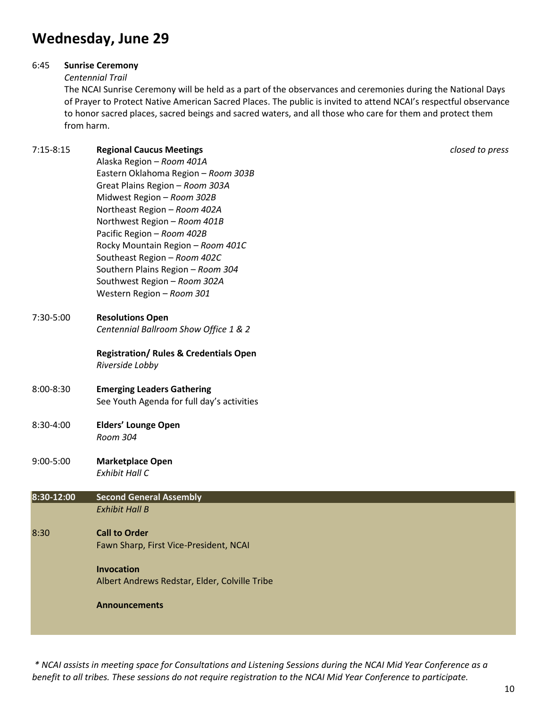# **Wednesday, June 29**

#### 6:45 **Sunrise Ceremony**

#### *Centennial Trail*

The NCAI Sunrise Ceremony will be held as a part of the observances and ceremonies during the National Days of Prayer to Protect Native American Sacred Places. The public is invited to attend NCAI's respectful observance to honor sacred places, sacred beings and sacred waters, and all those who care for them and protect them from harm.

### 7:15-8:15 **Regional Caucus Meetings** *closed to press*

Alaska Region – *Room 401A* Eastern Oklahoma Region – *Room 303B* Great Plains Region – *Room 303A* Midwest Region – *Room 302B* Northeast Region – *Room 402A* Northwest Region – *Room 401B* Pacific Region – *Room 402B* Rocky Mountain Region – *Room 401C* Southeast Region – *Room 402C* Southern Plains Region – *Room 304* Southwest Region – *Room 302A* Western Region – *Room 301*

### 7:30-5:00 **Resolutions Open**

*Centennial Ballroom Show Office 1 & 2*

**Registration/ Rules & Credentials Open** *Riverside Lobby*

#### 8:00-8:30 **Emerging Leaders Gathering** See Youth Agenda for full day's activities

#### 8:30-4:00 **Elders' Lounge Open** *Room 304*

#### 9:00-5:00 **Marketplace Open**  *Exhibit Hall C*

| 8:30-12:00 | <b>Second General Assembly</b>                |  |
|------------|-----------------------------------------------|--|
|            | <b>Exhibit Hall B</b>                         |  |
| 8:30       | <b>Call to Order</b>                          |  |
|            | Fawn Sharp, First Vice-President, NCAI        |  |
|            | Invocation                                    |  |
|            | Albert Andrews Redstar, Elder, Colville Tribe |  |
|            | <b>Announcements</b>                          |  |
|            |                                               |  |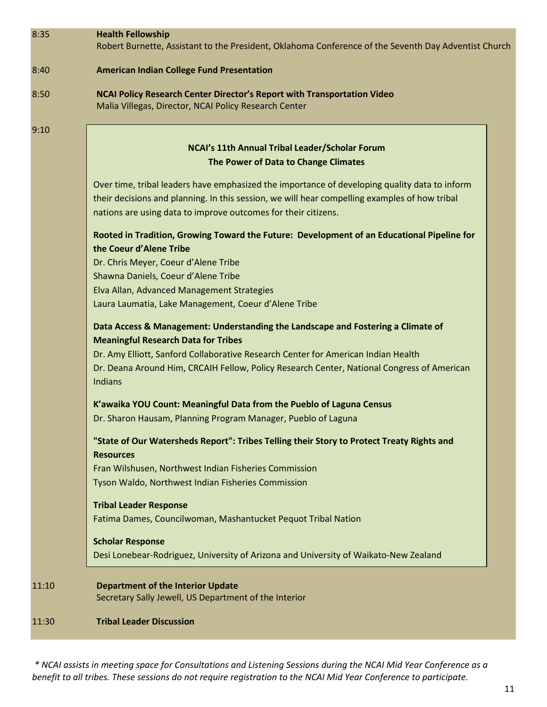| 8:35  | <b>Health Fellowship</b><br>Robert Burnette, Assistant to the President, Oklahoma Conference of the Seventh Day Adventist Church |  |
|-------|----------------------------------------------------------------------------------------------------------------------------------|--|
| 8:40  | <b>American Indian College Fund Presentation</b>                                                                                 |  |
| 8:50  | NCAI Policy Research Center Director's Report with Transportation Video<br>Malia Villegas, Director, NCAI Policy Research Center |  |
| 9:10  |                                                                                                                                  |  |
|       | NCAI's 11th Annual Tribal Leader/Scholar Forum                                                                                   |  |
|       | The Power of Data to Change Climates                                                                                             |  |
|       | Over time, tribal leaders have emphasized the importance of developing quality data to inform                                    |  |
|       | their decisions and planning. In this session, we will hear compelling examples of how tribal                                    |  |
|       | nations are using data to improve outcomes for their citizens.                                                                   |  |
|       | Rooted in Tradition, Growing Toward the Future: Development of an Educational Pipeline for<br>the Coeur d'Alene Tribe            |  |
|       | Dr. Chris Meyer, Coeur d'Alene Tribe                                                                                             |  |
|       | Shawna Daniels, Coeur d'Alene Tribe                                                                                              |  |
|       | Elva Allan, Advanced Management Strategies                                                                                       |  |
|       | Laura Laumatia, Lake Management, Coeur d'Alene Tribe                                                                             |  |
|       | Data Access & Management: Understanding the Landscape and Fostering a Climate of<br><b>Meaningful Research Data for Tribes</b>   |  |
|       | Dr. Amy Elliott, Sanford Collaborative Research Center for American Indian Health                                                |  |
|       | Dr. Deana Around Him, CRCAIH Fellow, Policy Research Center, National Congress of American<br><b>Indians</b>                     |  |
|       | K'awaika YOU Count: Meaningful Data from the Pueblo of Laguna Census                                                             |  |
|       | Dr. Sharon Hausam, Planning Program Manager, Pueblo of Laguna                                                                    |  |
|       | "State of Our Watersheds Report": Tribes Telling their Story to Protect Treaty Rights and<br><b>Resources</b>                    |  |
|       | Fran Wilshusen, Northwest Indian Fisheries Commission                                                                            |  |
|       | Tyson Waldo, Northwest Indian Fisheries Commission                                                                               |  |
|       | <b>Tribal Leader Response</b><br>Fatima Dames, Councilwoman, Mashantucket Pequot Tribal Nation                                   |  |
|       |                                                                                                                                  |  |
|       | <b>Scholar Response</b><br>Desi Lonebear-Rodriguez, University of Arizona and University of Waikato-New Zealand                  |  |
| 11:10 | <b>Department of the Interior Update</b><br>Secretary Sally Jewell, US Department of the Interior                                |  |
| 11:30 | <b>Tribal Leader Discussion</b>                                                                                                  |  |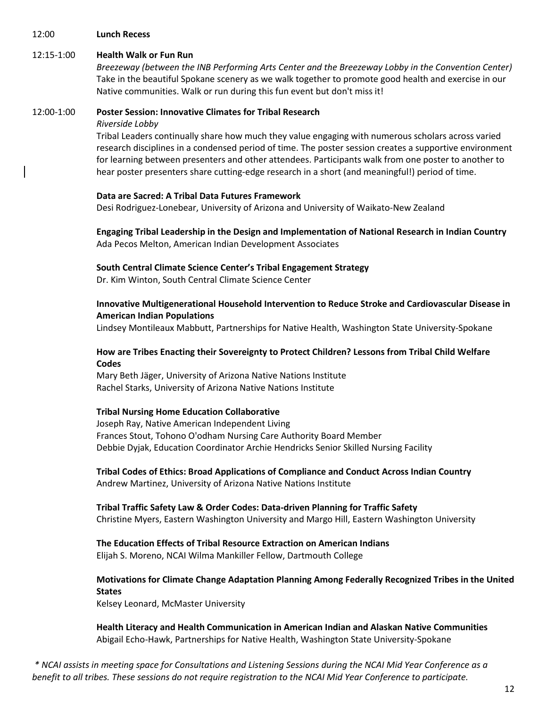#### 12:00 **Lunch Recess**

#### 12:15-1:00 **Health Walk or Fun Run**

*Breezeway (between the INB Performing Arts Center and the Breezeway Lobby in the Convention Center)* Take in the beautiful Spokane scenery as we walk together to promote good health and exercise in our Native communities. Walk or run during this fun event but don't miss it!

#### 12:00-1:00 **Poster Session: Innovative Climates for Tribal Research**

*Riverside Lobby*

Tribal Leaders continually share how much they value engaging with numerous scholars across varied research disciplines in a condensed period of time. The poster session creates a supportive environment for learning between presenters and other attendees. Participants walk from one poster to another to hear poster presenters share cutting-edge research in a short (and meaningful!) period of time.

#### **Data are Sacred: A Tribal Data Futures Framework**

Desi Rodriguez-Lonebear, University of Arizona and University of Waikato-New Zealand

**Engaging Tribal Leadership in the Design and Implementation of National Research in Indian Country** Ada Pecos Melton, American Indian Development Associates

#### **South Central Climate Science Center's Tribal Engagement Strategy**

Dr. Kim Winton, South Central Climate Science Center

#### **Innovative Multigenerational Household Intervention to Reduce Stroke and Cardiovascular Disease in American Indian Populations**

Lindsey Montileaux Mabbutt, Partnerships for Native Health, Washington State University-Spokane

#### **How are Tribes Enacting their Sovereignty to Protect Children? Lessons from Tribal Child Welfare Codes**

Mary Beth Jäger, University of Arizona Native Nations Institute Rachel Starks, University of Arizona Native Nations Institute

#### **Tribal Nursing Home Education Collaborative**

Joseph Ray, Native American Independent Living Frances Stout, Tohono O'odham Nursing Care Authority Board Member Debbie Dyjak, Education Coordinator Archie Hendricks Senior Skilled Nursing Facility

**Tribal Codes of Ethics: Broad Applications of Compliance and Conduct Across Indian Country** Andrew Martinez, University of Arizona Native Nations Institute

#### **Tribal Traffic Safety Law & Order Codes: Data-driven Planning for Traffic Safety** Christine Myers, Eastern Washington University and Margo Hill, Eastern Washington University

**The Education Effects of Tribal Resource Extraction on American Indians** Elijah S. Moreno, NCAI Wilma Mankiller Fellow, Dartmouth College

### **Motivations for Climate Change Adaptation Planning Among Federally Recognized Tribes in the United States**

Kelsey Leonard, McMaster University

**Health Literacy and Health Communication in American Indian and Alaskan Native Communities**  Abigail Echo-Hawk, Partnerships for Native Health, Washington State University-Spokane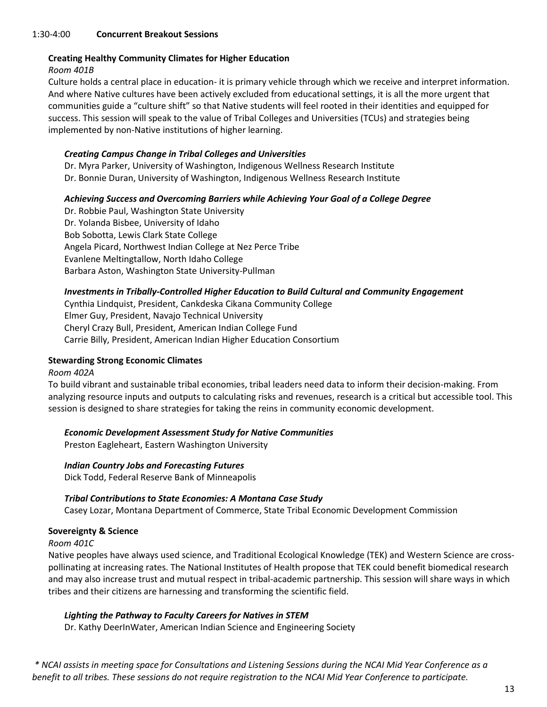#### 1:30-4:00 **Concurrent Breakout Sessions**

#### **Creating Healthy Community Climates for Higher Education**

*Room 401B*

Culture holds a central place in education- it is primary vehicle through which we receive and interpret information. And where Native cultures have been actively excluded from educational settings, it is all the more urgent that communities guide a "culture shift" so that Native students will feel rooted in their identities and equipped for success. This session will speak to the value of Tribal Colleges and Universities (TCUs) and strategies being implemented by non-Native institutions of higher learning.

#### *Creating Campus Change in Tribal Colleges and Universities*

Dr. Myra Parker, University of Washington, Indigenous Wellness Research Institute Dr. Bonnie Duran, University of Washington, Indigenous Wellness Research Institute

#### *Achieving Success and Overcoming Barriers while Achieving Your Goal of a College Degree*

Dr. Robbie Paul, Washington State University Dr. Yolanda Bisbee, University of Idaho Bob Sobotta, Lewis Clark State College Angela Picard, Northwest Indian College at Nez Perce Tribe Evanlene Meltingtallow, North Idaho College Barbara Aston, Washington State University-Pullman

#### *Investments in Tribally-Controlled Higher Education to Build Cultural and Community Engagement*

Cynthia Lindquist, President, Cankdeska Cikana Community College Elmer Guy, President, Navajo Technical University Cheryl Crazy Bull, President, American Indian College Fund Carrie Billy, President, American Indian Higher Education Consortium

#### **Stewarding Strong Economic Climates**

#### *Room 402A*

To build vibrant and sustainable tribal economies, tribal leaders need data to inform their decision-making. From analyzing resource inputs and outputs to calculating risks and revenues, research is a critical but accessible tool. This session is designed to share strategies for taking the reins in community economic development.

#### *Economic Development Assessment Study for Native Communities*

Preston Eagleheart, Eastern Washington University

*Indian Country Jobs and Forecasting Futures* Dick Todd, Federal Reserve Bank of Minneapolis

#### *Tribal Contributions to State Economies: A Montana Case Study*

Casey Lozar, Montana Department of Commerce, State Tribal Economic Development Commission

#### **Sovereignty & Science**

*Room 401C*

Native peoples have always used science, and Traditional Ecological Knowledge (TEK) and Western Science are crosspollinating at increasing rates. The National Institutes of Health propose that TEK could benefit biomedical research and may also increase trust and mutual respect in tribal-academic partnership. This session will share ways in which tribes and their citizens are harnessing and transforming the scientific field.

#### *Lighting the Pathway to Faculty Careers for Natives in STEM*

Dr. Kathy DeerInWater, American Indian Science and Engineering Society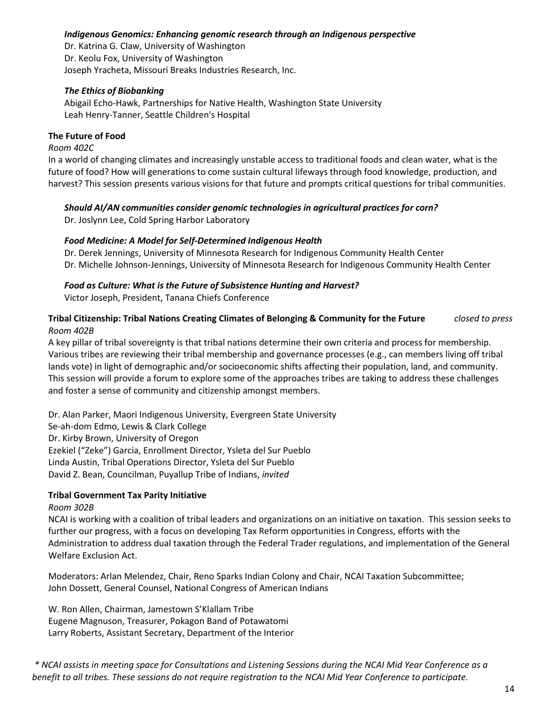#### *Indigenous Genomics: Enhancing genomic research through an Indigenous perspective*

Dr. Katrina G. Claw, University of Washington Dr. Keolu Fox, University of Washington Joseph Yracheta, Missouri Breaks Industries Research, Inc.

#### *The Ethics of Biobanking*

Abigail Echo-Hawk, Partnerships for Native Health, Washington State University Leah Henry-Tanner, Seattle Children's Hospital

#### **The Future of Food**

#### *Room 402C*

In a world of changing climates and increasingly unstable access to traditional foods and clean water, what is the future of food? How will generations to come sustain cultural lifeways through food knowledge, production, and harvest? This session presents various visions for that future and prompts critical questions for tribal communities.

#### *Should AI/AN communities consider genomic technologies in agricultural practices for corn?*

Dr. Joslynn Lee, Cold Spring Harbor Laboratory

#### *Food Medicine: A Model for Self-Determined Indigenous Health*

Dr. Derek Jennings, University of Minnesota Research for Indigenous Community Health Center Dr. Michelle Johnson-Jennings, University of Minnesota Research for Indigenous Community Health Center

#### *Food as Culture: What is the Future of Subsistence Hunting and Harvest?*

Victor Joseph, President, Tanana Chiefs Conference

#### **Tribal Citizenship: Tribal Nations Creating Climates of Belonging & Community for the Future** *closed to press Room 402B*

A key pillar of tribal sovereignty is that tribal nations determine their own criteria and process for membership. Various tribes are reviewing their tribal membership and governance processes (e.g., can members living off tribal lands vote) in light of demographic and/or socioeconomic shifts affecting their population, land, and community. This session will provide a forum to explore some of the approaches tribes are taking to address these challenges and foster a sense of community and citizenship amongst members.

Dr. Alan Parker, Maori Indigenous University, Evergreen State University Se-ah-dom Edmo, Lewis & Clark College Dr. Kirby Brown, University of Oregon Ezekiel ("Zeke") Garcia, Enrollment Director, Ysleta del Sur Pueblo Linda Austin, Tribal Operations Director, Ysleta del Sur Pueblo David Z. Bean, Councilman, Puyallup Tribe of Indians, *invited*

#### **Tribal Government Tax Parity Initiative**

#### *Room 302B*

NCAI is working with a coalition of tribal leaders and organizations on an initiative on taxation. This session seeks to further our progress, with a focus on developing Tax Reform opportunities in Congress, efforts with the Administration to address dual taxation through the Federal Trader regulations, and implementation of the General Welfare Exclusion Act.

Moderators: Arlan Melendez, Chair, Reno Sparks Indian Colony and Chair, NCAI Taxation Subcommittee; John Dossett, General Counsel, National Congress of American Indians

W. Ron Allen, Chairman, Jamestown S'Klallam Tribe Eugene Magnuson, Treasurer, Pokagon Band of Potawatomi Larry Roberts, Assistant Secretary, Department of the Interior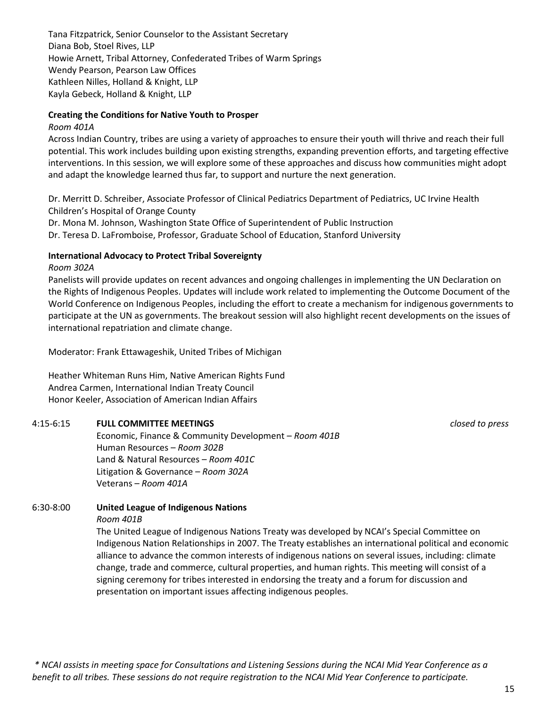Tana Fitzpatrick, Senior Counselor to the Assistant Secretary Diana Bob, Stoel Rives, LLP Howie Arnett, Tribal Attorney, Confederated Tribes of Warm Springs Wendy Pearson, Pearson Law Offices Kathleen Nilles, Holland & Knight, LLP Kayla Gebeck, Holland & Knight, LLP

#### **Creating the Conditions for Native Youth to Prosper**

#### *Room 401A*

Across Indian Country, tribes are using a variety of approaches to ensure their youth will thrive and reach their full potential. This work includes building upon existing strengths, expanding prevention efforts, and targeting effective interventions. In this session, we will explore some of these approaches and discuss how communities might adopt and adapt the knowledge learned thus far, to support and nurture the next generation.

Dr. Merritt D. Schreiber, Associate Professor of Clinical Pediatrics Department of Pediatrics, UC Irvine Health Children's Hospital of Orange County

Dr. Mona M. Johnson, Washington State Office of Superintendent of Public Instruction

Dr. Teresa D. LaFromboise, Professor, Graduate School of Education, Stanford University

#### **International Advocacy to Protect Tribal Sovereignty**

#### *Room 302A*

Panelists will provide updates on recent advances and ongoing challenges in implementing the UN Declaration on the Rights of Indigenous Peoples. Updates will include work related to implementing the Outcome Document of the World Conference on Indigenous Peoples, including the effort to create a mechanism for indigenous governments to participate at the UN as governments. The breakout session will also highlight recent developments on the issues of international repatriation and climate change.

Moderator: Frank Ettawageshik, United Tribes of Michigan

Heather Whiteman Runs Him, Native American Rights Fund Andrea Carmen, International Indian Treaty Council Honor Keeler, Association of American Indian Affairs

#### 4:15-6:15 **FULL COMMITTEE MEETINGS** *closed to press*

Economic, Finance & Community Development – *Room 401B* Human Resources – *Room 302B* Land & Natural Resources – *Room 401C* Litigation & Governance – *Room 302A* Veterans – *Room 401A*

# 6:30-8:00 **United League of Indigenous Nations**

#### *Room 401B*

The United League of Indigenous Nations Treaty was developed by NCAI's Special Committee on Indigenous Nation Relationships in 2007. The Treaty establishes an international political and economic alliance to advance the common interests of indigenous nations on several issues, including: climate change, trade and commerce, cultural properties, and human rights. This meeting will consist of a signing ceremony for tribes interested in endorsing the treaty and a forum for discussion and presentation on important issues affecting indigenous peoples.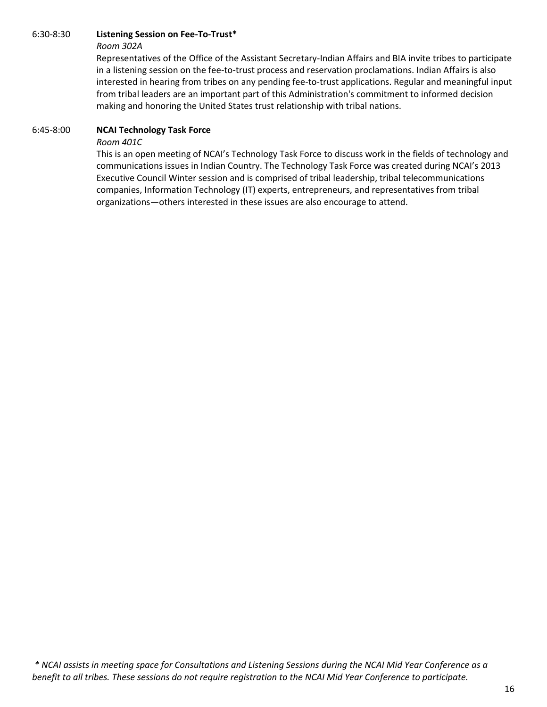#### 6:30-8:30 **Listening Session on Fee-To-Trust\***

#### *Room 302A*

Representatives of the Office of the Assistant Secretary-Indian Affairs and BIA invite tribes to participate in a listening session on the fee-to-trust process and reservation proclamations. Indian Affairs is also interested in hearing from tribes on any pending fee-to-trust applications. Regular and meaningful input from tribal leaders are an important part of this Administration's commitment to informed decision making and honoring the United States trust relationship with tribal nations.

#### 6:45-8:00 **NCAI Technology Task Force**

#### *Room 401C*

This is an open meeting of NCAI's Technology Task Force to discuss work in the fields of technology and communications issues in Indian Country. The Technology Task Force was created during NCAI's 2013 Executive Council Winter session and is comprised of tribal leadership, tribal telecommunications companies, Information Technology (IT) experts, entrepreneurs, and representatives from tribal organizations—others interested in these issues are also encourage to attend.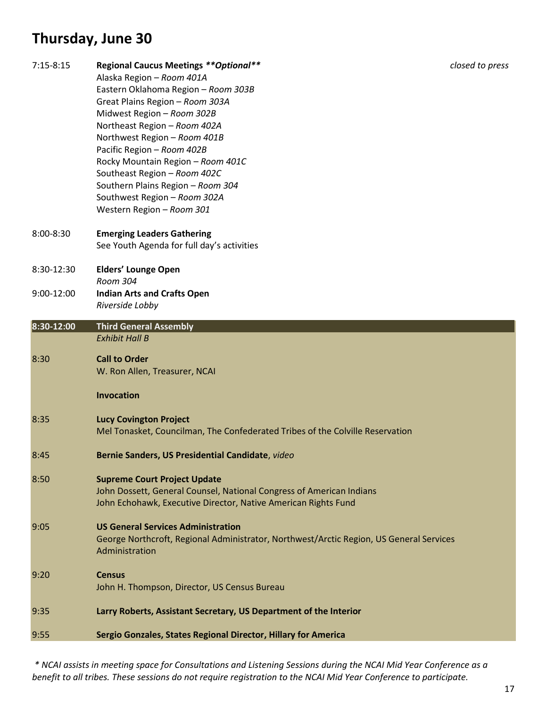# **Thursday, June 30**

| $7:15-8:15$   | <b>Regional Caucus Meetings ** Optional**</b><br>Alaska Region - Room 401A<br>Eastern Oklahoma Region - Room 303B<br>Great Plains Region - Room 303A<br>Midwest Region - Room 302B<br>Northeast Region - Room 402A<br>Northwest Region - Room 401B<br>Pacific Region - Room 402B<br>Rocky Mountain Region - Room 401C<br>Southeast Region - Room 402C<br>Southern Plains Region - Room 304<br>Southwest Region - Room 302A<br>Western Region - Room 301 | closed to press |
|---------------|---------------------------------------------------------------------------------------------------------------------------------------------------------------------------------------------------------------------------------------------------------------------------------------------------------------------------------------------------------------------------------------------------------------------------------------------------------|-----------------|
| $8:00 - 8:30$ | <b>Emerging Leaders Gathering</b><br>See Youth Agenda for full day's activities                                                                                                                                                                                                                                                                                                                                                                         |                 |
| 8:30-12:30    | <b>Elders' Lounge Open</b>                                                                                                                                                                                                                                                                                                                                                                                                                              |                 |
| 9:00-12:00    | Room 304<br><b>Indian Arts and Crafts Open</b><br>Riverside Lobby                                                                                                                                                                                                                                                                                                                                                                                       |                 |
| 8:30-12:00    | <b>Third General Assembly</b>                                                                                                                                                                                                                                                                                                                                                                                                                           |                 |
|               | <b>Exhibit Hall B</b>                                                                                                                                                                                                                                                                                                                                                                                                                                   |                 |
| 8:30          | <b>Call to Order</b><br>W. Ron Allen, Treasurer, NCAI                                                                                                                                                                                                                                                                                                                                                                                                   |                 |
|               | <b>Invocation</b>                                                                                                                                                                                                                                                                                                                                                                                                                                       |                 |
| 8:35          | <b>Lucy Covington Project</b><br>Mel Tonasket, Councilman, The Confederated Tribes of the Colville Reservation                                                                                                                                                                                                                                                                                                                                          |                 |
| 8:45          | Bernie Sanders, US Presidential Candidate, video                                                                                                                                                                                                                                                                                                                                                                                                        |                 |
| 8:50          | <b>Supreme Court Project Update</b><br>John Dossett, General Counsel, National Congress of American Indians<br>John Echohawk, Executive Director, Native American Rights Fund                                                                                                                                                                                                                                                                           |                 |
| 9:05          | <b>US General Services Administration</b><br>George Northcroft, Regional Administrator, Northwest/Arctic Region, US General Services<br>Administration                                                                                                                                                                                                                                                                                                  |                 |
| 9:20          | <b>Census</b><br>John H. Thompson, Director, US Census Bureau                                                                                                                                                                                                                                                                                                                                                                                           |                 |
| 9:35          | Larry Roberts, Assistant Secretary, US Department of the Interior                                                                                                                                                                                                                                                                                                                                                                                       |                 |
| 9:55          | Sergio Gonzales, States Regional Director, Hillary for America                                                                                                                                                                                                                                                                                                                                                                                          |                 |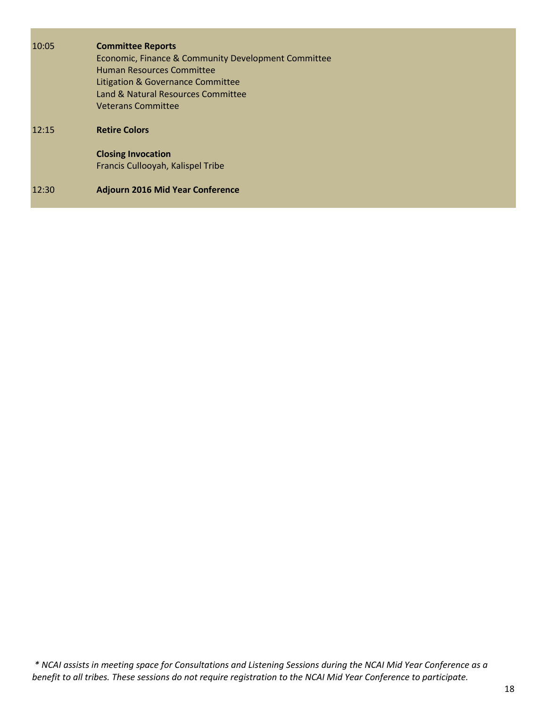| 10:05 | <b>Committee Reports</b><br>Economic, Finance & Community Development Committee<br><b>Human Resources Committee</b><br>Litigation & Governance Committee<br>Land & Natural Resources Committee<br><b>Veterans Committee</b> |
|-------|-----------------------------------------------------------------------------------------------------------------------------------------------------------------------------------------------------------------------------|
| 12:15 | <b>Retire Colors</b>                                                                                                                                                                                                        |
|       | <b>Closing Invocation</b><br>Francis Cullooyah, Kalispel Tribe                                                                                                                                                              |
| 12:30 | <b>Adjourn 2016 Mid Year Conference</b>                                                                                                                                                                                     |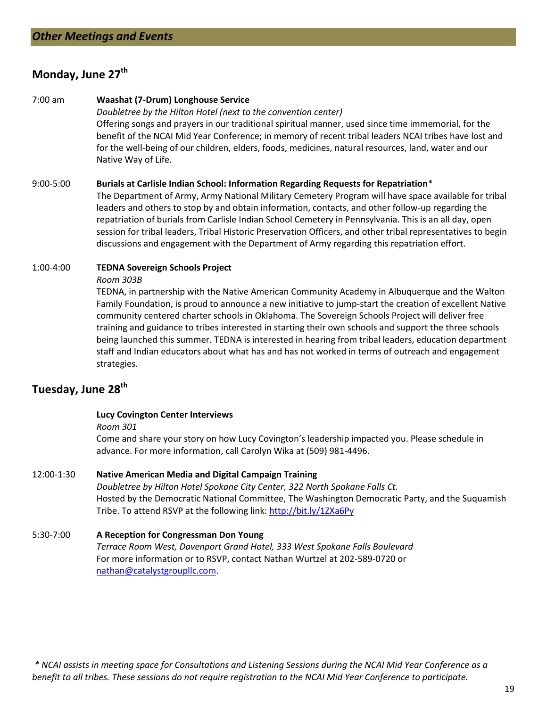# **Monday, June 27th**

7:00 am **Waashat (7-Drum) Longhouse Service** *Doubletree by the Hilton Hotel (next to the convention center)* Offering songs and prayers in our traditional spiritual manner, used since time immemorial, for the benefit of the NCAI Mid Year Conference; in memory of recent tribal leaders NCAI tribes have lost and for the well-being of our children, elders, foods, medicines, natural resources, land, water and our Native Way of Life.

#### 9:00-5:00 **Burials at Carlisle Indian School: Information Regarding Requests for Repatriation**\*

The Department of Army, Army National Military Cemetery Program will have space available for tribal leaders and others to stop by and obtain information, contacts, and other follow-up regarding the repatriation of burials from Carlisle Indian School Cemetery in Pennsylvania. This is an all day, open session for tribal leaders, Tribal Historic Preservation Officers, and other tribal representatives to begin discussions and engagement with the Department of Army regarding this repatriation effort.

#### 1:00-4:00 **TEDNA Sovereign Schools Project**

#### *Room 303B*

TEDNA, in partnership with the Native American Community Academy in Albuquerque and the Walton Family Foundation, is proud to announce a new initiative to jump-start the creation of excellent Native community centered charter schools in Oklahoma. The Sovereign Schools Project will deliver free training and guidance to tribes interested in starting their own schools and support the three schools being launched this summer. TEDNA is interested in hearing from tribal leaders, education department staff and Indian educators about what has and has not worked in terms of outreach and engagement strategies.

# **Tuesday, June 28th**

#### **Lucy Covington Center Interviews**

#### *Room 301*

Come and share your story on how Lucy Covington's leadership impacted you. Please schedule in advance. For more information, call Carolyn Wika at (509) 981-4496.

#### 12:00-1:30 **Native American Media and Digital Campaign Training**

*Doubletree by Hilton Hotel Spokane City Center, 322 North Spokane Falls Ct.* Hosted by the Democratic National Committee, The Washington Democratic Party, and the Suquamish Tribe. To attend RSVP at the following link:<http://bit.ly/1ZXa6Py>

# 5:30-7:00 **A Reception for Congressman Don Young**

*Terrace Room West, Davenport Grand Hotel, 333 West Spokane Falls Boulevard* For more information or to RSVP, contact Nathan Wurtzel at 202-589-0720 or [nathan@catalystgroupllc.com.](mailto:nathan@catalystgroupllc.com)